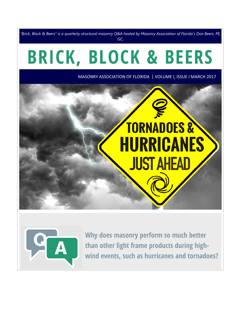*"Brick, Block & Beers" is a quarterly structural masonry Q&A hosted by Masonry Association of Florida's Don Beers, PE, GC.*

# **BRICK, BLOCK & BEERS**

MASONRY ASSOCIATION OF FLORIDA | VOLUME I, ISSUE I MARCH 2017





**Why does masonry perform so much better than other light frame products during highwind events, such as hurricanes and tornadoes?**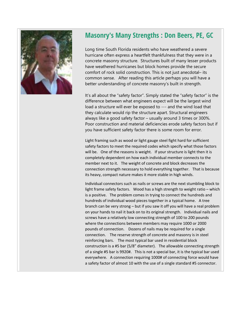

## **Masonry's Many Strengths : Don Beers, PE, GC**

Long time South Florida residents who have weathered a severe hurricane often express a heartfelt thankfulness that they were in a concrete masonry structure. Structures built of many lesser products have weathered hurricanes but block homes provide the secure comfort of rock solid construction. This is not just anecdotal– its common sense. After reading this article perhaps you will have a better understanding of concrete masonry's built in strength.

It's all about the "safety factor". Simply stated the "safety factor" is the difference between what engineers expect will be the largest wind load a structure will ever be exposed to --- and the wind load that they calculate would rip the structure apart. Structural engineers always like a good safety factor – usually around 3 times or 300%. Poor construction and material deficiencies erode safety factors but if you have sufficient safety factor there is some room for error.

Light framing such as wood or light gauge steel fight hard for sufficient safety factors to meet the required codes which specify what those factors will be. One of the reasons is weight. If your structure is light then it is completely dependent on how each individual member connects to the member next to it. The weight of concrete and block decreases the connection strength necessary to hold everything together. That is because its heavy, compact nature makes it more stable in high winds.

Individual connectors such as nails or screws are the next stumbling block to light frame safety factors. Wood has a high strength to weight ratio – which is a positive. The problem comes in trying to connect the hundreds and hundreds of individual wood pieces together in a typical home. A tree branch can be very strong – but if you saw it off you will have a real problem on your hands to nail it back on to its original strength. Individual nails and screws have a relatively low connecting strength of 100 to 200 pounds where the connections between members may require 1000 or 2000 pounds of connection. Dozens of nails may be required for a single connection. The reserve strength of concrete and masonry is in steel reinforcing bars. The most typical bar used in residential block construction is a #5 bar (5/8" diameter). The allowable connecting strength of a single #5 bar is 9920#. This is not a special bar, it is the typical bar used everywhere. A connection requiring 1000# of connecting force would have a safety factor of almost 10 with the use of a single standard #5 connector.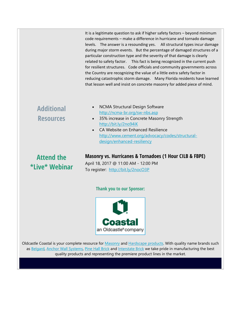It is a legitimate question to ask if higher safety factors – beyond minimum code requirements – make a difference in hurricane and tornado damage levels. The answer is a resounding yes. All structural types incur damage during major storm events. But the percentage of damaged structures of a particular construction type and the severity of that damage is clearly related to safety factor. This fact is being recognized in the current push for resilient structures. Code officials and community governments across the Country are recognizing the value of a little extra safety factor in reducing catastrophic storm damage. Many Florida residents have learned that lesson well and insist on concrete masonry for added piece of mind.

## **Additional Resources**

- NCMA Structural Design Software http://ncma-br.org/sw-nbs.asp
- 35% increase in Concrete Masonry Strength http://bit.ly/2no94iK
- CA Website on Enhanced Resilience http://www.cement.org/advocacy/codes/structuraldesign/enhanced-resiliency

# **Attend the \*Live\* Webinar**

### **Masonry vs. Hurricanes & Tornadoes (1 Hour CILB & FBPE)**

April 18, 2017 @ 11:00 AM - 12:00 PM To register: http://bit.ly/2nocO3P

#### **Thank you to our Sponsor:**



Oldcastle Coastal is your complete resource for Masonry and Hardscape products. With quality name brands such as Belgard, Anchor Wall Systems, Pine Hall Brick and Interstate Brick we take pride in manufacturing the best quality products and representing the premiere product lines in the market.